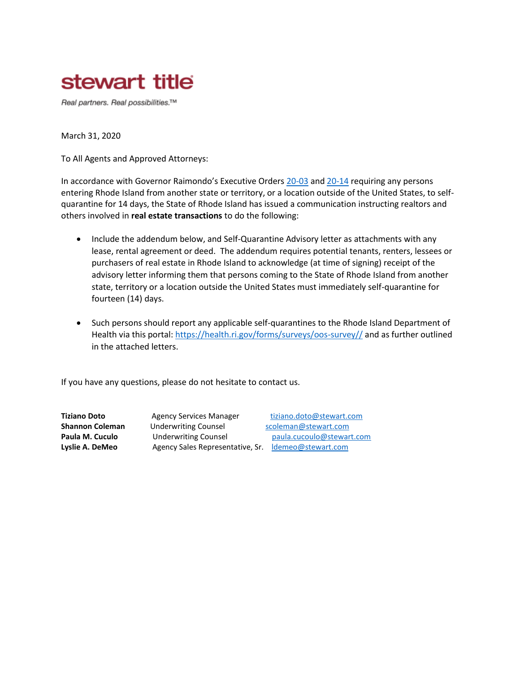

Real partners. Real possibilities.™

March 31, 2020

To All Agents and Approved Attorneys:

In accordance with Governor Raimondo's Executive Orders [20-03](http://www.governor.ri.gov/documents/orders/Executive-Order-20-03.pdf) and [20-14](http://www.governor.ri.gov/documents/orders/Executive-Order-20-14.pdf) requiring any persons entering Rhode Island from another state or territory, or a location outside of the United States, to selfquarantine for 14 days, the State of Rhode Island has issued a communication instructing realtors and others involved in **real estate transactions** to do the following:

- Include the addendum below, and Self-Quarantine Advisory letter as attachments with any lease, rental agreement or deed. The addendum requires potential tenants, renters, lessees or purchasers of real estate in Rhode Island to acknowledge (at time of signing) receipt of the advisory letter informing them that persons coming to the State of Rhode Island from another state, territory or a location outside the United States must immediately self-quarantine for fourteen (14) days.
- Such persons should report any applicable self-quarantines to the Rhode Island Department of Health via this portal[: https://health.ri.gov/forms/surveys/oos-survey//](https://health.ri.gov/forms/surveys/oos-survey/) and as further outlined in the attached letters.

If you have any questions, please do not hesitate to contact us.

**Shannon Coleman Underwriting Counsel Shannon @stewart.com** Lyslie A. DeMeo **Agency Sales Representative, Sr.** ldemeo@stewart.com

**Tiziano Doto** Agency Services Manager **[tiziano.doto@stewart.com](mailto:tiziano.doto@stewart.com) Paula M. Cuculo Underwriting Counsel <b>Paula.cucoulo@stewart.com**